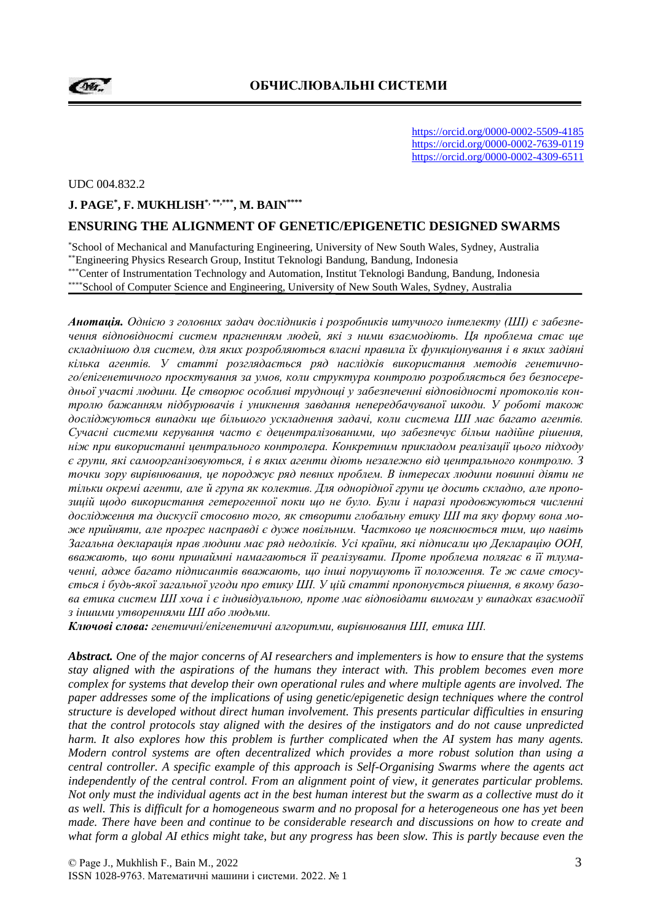**Der** 

https://orcid.org/0000-0002-5509-4185 https://orcid.org/0000-0002-7639-0119 https://orcid.org/0000-0002-4309-6511

UDC 004.832.2

#### **J. PAGE\* , F. MUKHLISH\*, \*\*,\*\*\* , M. BAIN\*\*\*\***

#### **ENSURING THE ALIGNMENT OF GENETIC/EPIGENETIC DESIGNED SWARMS**

\*School of Mechanical and Manufacturing Engineering, University of New South Wales, Sydney, Australia \*\*Engineering Physics Research Group, Institut Teknologi Bandung, Bandung, Indonesia

\*\*\*Center of Instrumentation Technology and Automation, Institut Teknologi Bandung, Bandung, Indonesia

\*\*\*\*School of Computer Science and Engineering, University of New South Wales, Sydney, Australia

*Анотація. Однією з головних задач дослідників і розробників штучного інтелекту (ШІ) є забезпечення відповідності систем прагненням людей, які з ними взаємодіють. Ця проблема стає ще складнішою для систем, для яких розробляються власні правила їх функціонування і в яких задіяні кілька агентів. У статті розглядається ряд наслідків використання методів генетичного/епігенетичного проєктування за умов, коли структура контролю розробляється без безпосередньої участі людини. Це створює особливі труднощі у забезпеченні відповідності протоколів контролю бажанням підбурювачів і уникнення завдання непередбачуваної шкоди. У роботі також досліджуються випадки ще більшого ускладнення задачі, коли система ШI має багато агентів. Сучасні системи керування часто є децентралізованими, що забезпечує більш надійне рішення, ніж при використанні центрального контролера. Конкретним прикладом реалізації цього підходу є групи, які самоорганізовуються, і в яких агенти діють незалежно від центрального контролю. З точки зору вирівнювання, це породжує ряд певних проблем. В інтересах людини повинні діяти не тільки окремі агенти, але й група як колектив. Для однорідної групи це досить складно, але пропозицій щодо використання гетерогенної поки що не було. Були і наразі продовжуються численні дослідження та дискусії стосовно того, як створити глобальну етику ШІ та яку форму вона може прийняти, але прогрес насправді є дуже повільним. Частково це пояснюється тим, що навіть Загальна декларація прав людини має ряд недоліків. Усі країни, які підписали цю Декларацію ООН, вважають, що вони принаймні намагаються її реалізувати. Проте проблема полягає в її тлумаченні, адже багато підписантів вважають, що інші порушують її положення. Те ж саме стосується і будь-якої загальної угоди про етику ШІ. У цій статті пропонується рішення, в якому базова етика систем ШІ хоча і є індивідуальною, проте має відповідати вимогам у випадках взаємодії з іншими утвореннями ШI або людьми.*

*Ключові слова: генетичні/епігенетичні алгоритми, вирівнювання ШІ, етика ШІ.*

*Abstract. One of the major concerns of AI researchers and implementers is how to ensure that the systems stay aligned with the aspirations of the humans they interact with. This problem becomes even more complex for systems that develop their own operational rules and where multiple agents are involved. The paper addresses some of the implications of using genetic/epigenetic design techniques where the control structure is developed without direct human involvement. This presents particular difficulties in ensuring that the control protocols stay aligned with the desires of the instigators and do not cause unpredicted harm. It also explores how this problem is further complicated when the AI system has many agents. Modern control systems are often decentralized which provides a more robust solution than using a central controller. A specific example of this approach is Self-Organising Swarms where the agents act independently of the central control. From an alignment point of view, it generates particular problems. Not only must the individual agents act in the best human interest but the swarm as a collective must do it as well. This is difficult for a homogeneous swarm and no proposal for a heterogeneous one has yet been made. There have been and continue to be considerable research and discussions on how to create and what form a global AI ethics might take, but any progress has been slow. This is partly because even the*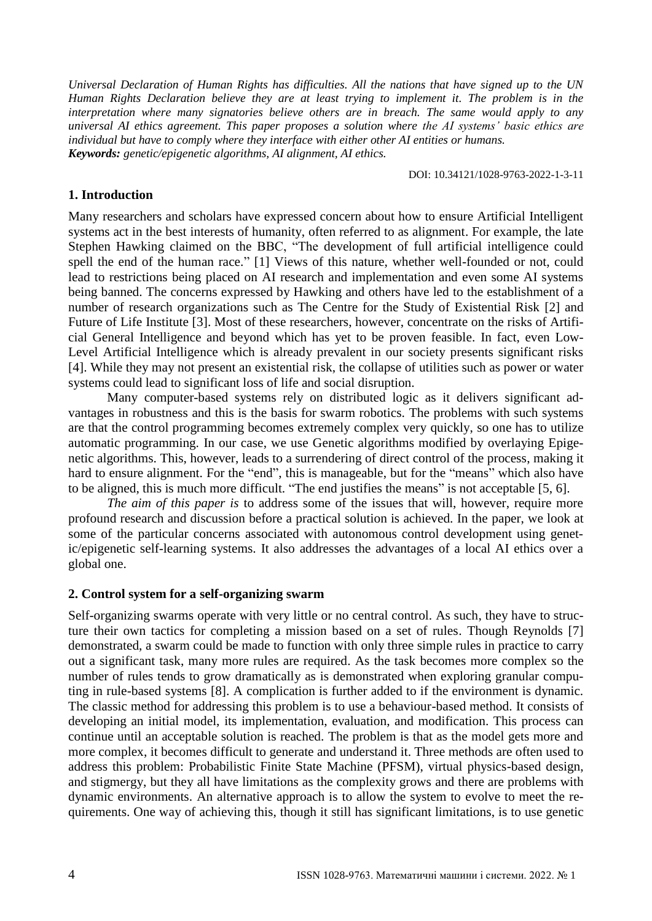*Universal Declaration of Human Rights has difficulties. All the nations that have signed up to the UN Human Rights Declaration believe they are at least trying to implement it. The problem is in the interpretation where many signatories believe others are in breach. The same would apply to any universal AI ethics agreement. This paper proposes a solution where the AI systems' basic ethics are individual but have to comply where they interface with either other AI entities or humans. Keywords: genetic/epigenetic algorithms, AI alignment, AI ethics.*

DOI: 10.34121/1028-9763-2022-1-3-11

### **1. Introduction**

Many researchers and scholars have expressed concern about how to ensure Artificial Intelligent systems act in the best interests of humanity, often referred to as alignment. For example, the late Stephen Hawking claimed on the BBC, "The development of full artificial intelligence could spell the end of the human race." [1] Views of this nature, whether well-founded or not, could lead to restrictions being placed on AI research and implementation and even some AI systems being banned. The concerns expressed by Hawking and others have led to the establishment of a number of research organizations such as The Centre for the Study of Existential Risk [2] and Future of Life Institute [3]. Most of these researchers, however, concentrate on the risks of Artificial General Intelligence and beyond which has yet to be proven feasible. In fact, even Low-Level Artificial Intelligence which is already prevalent in our society presents significant risks [4]. While they may not present an existential risk, the collapse of utilities such as power or water systems could lead to significant loss of life and social disruption.

Many computer-based systems rely on distributed logic as it delivers significant advantages in robustness and this is the basis for swarm robotics. The problems with such systems are that the control programming becomes extremely complex very quickly, so one has to utilize automatic programming. In our case, we use Genetic algorithms modified by overlaying Epigenetic algorithms. This, however, leads to a surrendering of direct control of the process, making it hard to ensure alignment. For the "end", this is manageable, but for the "means" which also have to be aligned, this is much more difficult. "The end justifies the means" is not acceptable [5, 6].

*The aim of this paper is* to address some of the issues that will, however, require more profound research and discussion before a practical solution is achieved. In the paper, we look at some of the particular concerns associated with autonomous control development using genetic/epigenetic self-learning systems. It also addresses the advantages of a local AI ethics over a global one.

### **2. Control system for a self-organizing swarm**

Self-organizing swarms operate with very little or no central control. As such, they have to structure their own tactics for completing a mission based on a set of rules. Though Reynolds [7] demonstrated, a swarm could be made to function with only three simple rules in practice to carry out a significant task, many more rules are required. As the task becomes more complex so the number of rules tends to grow dramatically as is demonstrated when exploring granular computing in rule-based systems [8]. A complication is further added to if the environment is dynamic. The classic method for addressing this problem is to use a behaviour-based method. It consists of developing an initial model, its implementation, evaluation, and modification. This process can continue until an acceptable solution is reached. The problem is that as the model gets more and more complex, it becomes difficult to generate and understand it. Three methods are often used to address this problem: Probabilistic Finite State Machine (PFSM), virtual physics-based design, and stigmergy, but they all have limitations as the complexity grows and there are problems with dynamic environments. An alternative approach is to allow the system to evolve to meet the requirements. One way of achieving this, though it still has significant limitations, is to use genetic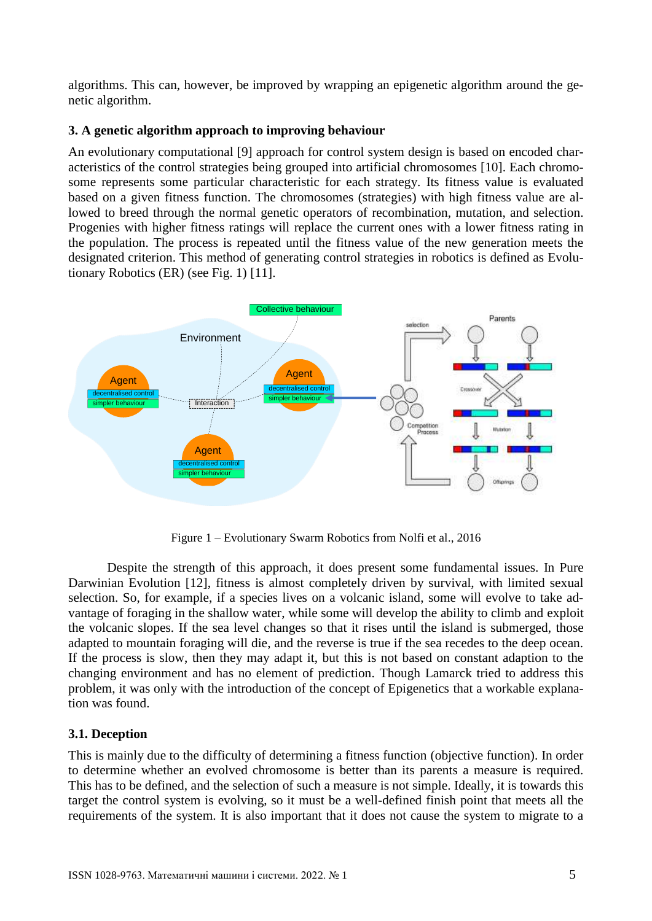algorithms. This can, however, be improved by wrapping an epigenetic algorithm around the genetic algorithm.

## **3. A genetic algorithm approach to improving behaviour**

An evolutionary computational [9] approach for control system design is based on encoded characteristics of the control strategies being grouped into artificial chromosomes [10]. Each chromosome represents some particular characteristic for each strategy. Its fitness value is evaluated based on a given fitness function. The chromosomes (strategies) with high fitness value are allowed to breed through the normal genetic operators of recombination, mutation, and selection. Progenies with higher fitness ratings will replace the current ones with a lower fitness rating in the population. The process is repeated until the fitness value of the new generation meets the designated criterion. This method of generating control strategies in robotics is defined as Evolutionary Robotics (ER) (see Fig. 1) [11].



Figure 1 – Evolutionary Swarm Robotics from Nolfi et al., 2016

Despite the strength of this approach, it does present some fundamental issues. In Pure Darwinian Evolution [12], fitness is almost completely driven by survival, with limited sexual selection. So, for example, if a species lives on a volcanic island, some will evolve to take advantage of foraging in the shallow water, while some will develop the ability to climb and exploit the volcanic slopes. If the sea level changes so that it rises until the island is submerged, those adapted to mountain foraging will die, and the reverse is true if the sea recedes to the deep ocean. If the process is slow, then they may adapt it, but this is not based on constant adaption to the changing environment and has no element of prediction. Though Lamarck tried to address this problem, it was only with the introduction of the concept of Epigenetics that a workable explanation was found.

# **3.1. Deception**

This is mainly due to the difficulty of determining a fitness function (objective function). In order to determine whether an evolved chromosome is better than its parents a measure is required. This has to be defined, and the selection of such a measure is not simple. Ideally, it is towards this target the control system is evolving, so it must be a well-defined finish point that meets all the requirements of the system. It is also important that it does not cause the system to migrate to a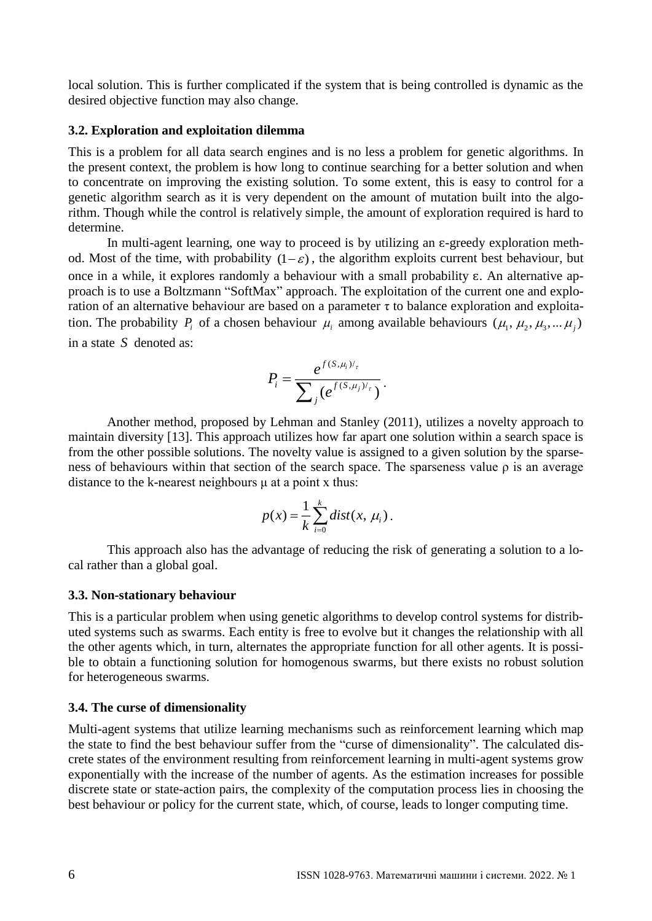local solution. This is further complicated if the system that is being controlled is dynamic as the desired objective function may also change.

#### **3.2. Exploration and exploitation dilemma**

This is a problem for all data search engines and is no less a problem for genetic algorithms. In the present context, the problem is how long to continue searching for a better solution and when to concentrate on improving the existing solution. To some extent, this is easy to control for a genetic algorithm search as it is very dependent on the amount of mutation built into the algorithm. Though while the control is relatively simple, the amount of exploration required is hard to determine.

In multi-agent learning, one way to proceed is by utilizing an  $\varepsilon$ -greedy exploration method. Most of the time, with probability  $(1 - \varepsilon)$ , the algorithm exploits current best behaviour, but once in a while, it explores randomly a behaviour with a small probability ɛ. An alternative approach is to use a Boltzmann "SoftMax" approach. The exploitation of the current one and exploration of an alternative behaviour are based on a parameter τ to balance exploration and exploitation. The probability  $P_i$  of a chosen behaviour  $\mu_i$  among available behaviours  $(\mu_1, \mu_2, \mu_3, ..., \mu_j)$ in a state *S* denoted as:

$$
P_i = \frac{e^{f(S,\mu_i)/\tau}}{\sum_j (e^{f(S,\mu_j)/\tau})}.
$$

Another method, proposed by Lehman and Stanley (2011), utilizes a novelty approach to maintain diversity [13]. This approach utilizes how far apart one solution within a search space is from the other possible solutions. The novelty value is assigned to a given solution by the sparseness of behaviours within that section of the search space. The sparseness value  $\rho$  is an average distance to the k-nearest neighbours μ at a point x thus:

$$
p(x) = \frac{1}{k} \sum_{i=0}^{k} dist(x, \mu_i).
$$

This approach also has the advantage of reducing the risk of generating a solution to a local rather than a global goal.

#### **3.3. Non-stationary behaviour**

This is a particular problem when using genetic algorithms to develop control systems for distributed systems such as swarms. Each entity is free to evolve but it changes the relationship with all the other agents which, in turn, alternates the appropriate function for all other agents. It is possible to obtain a functioning solution for homogenous swarms, but there exists no robust solution for heterogeneous swarms.

#### **3.4. The curse of dimensionality**

Multi-agent systems that utilize learning mechanisms such as reinforcement learning which map the state to find the best behaviour suffer from the "curse of dimensionality". The calculated discrete states of the environment resulting from reinforcement learning in multi-agent systems grow exponentially with the increase of the number of agents. As the estimation increases for possible discrete state or state-action pairs, the complexity of the computation process lies in choosing the best behaviour or policy for the current state, which, of course, leads to longer computing time.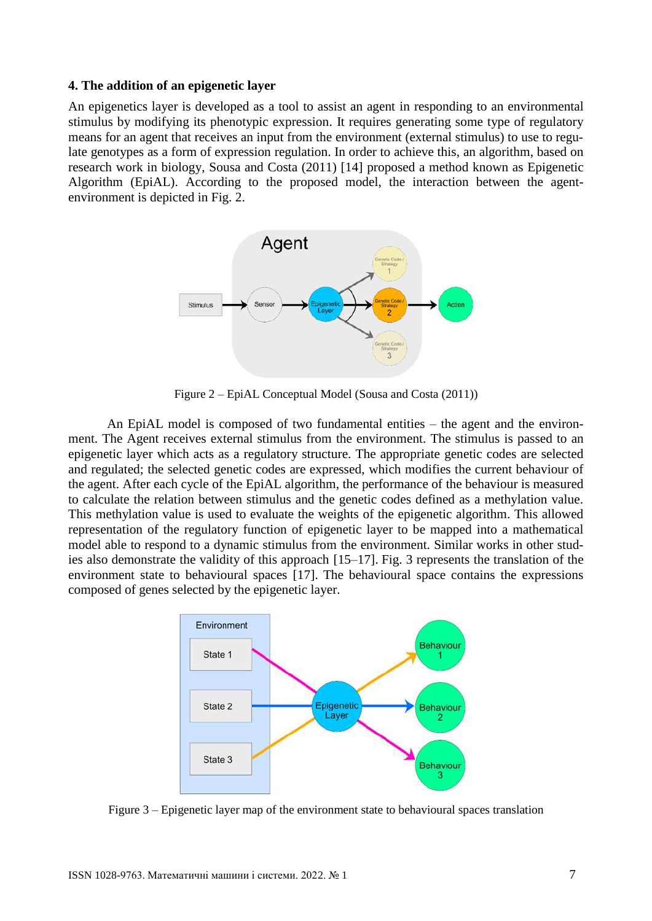#### **4. The addition of an epigenetic layer**

An epigenetics layer is developed as a tool to assist an agent in responding to an environmental stimulus by modifying its phenotypic expression. It requires generating some type of regulatory means for an agent that receives an input from the environment (external stimulus) to use to regulate genotypes as a form of expression regulation. In order to achieve this, an algorithm, based on research work in biology, Sousa and Costa (2011) [14] proposed a method known as Epigenetic Algorithm (EpiAL). According to the proposed model, the interaction between the agentenvironment is depicted in Fig. 2.



Figure 2 – EpiAL Conceptual Model (Sousa and Costa (2011))

An EpiAL model is composed of two fundamental entities – the agent and the environment. The Agent receives external stimulus from the environment. The stimulus is passed to an epigenetic layer which acts as a regulatory structure. The appropriate genetic codes are selected and regulated; the selected genetic codes are expressed, which modifies the current behaviour of the agent. After each cycle of the EpiAL algorithm, the performance of the behaviour is measured to calculate the relation between stimulus and the genetic codes defined as a methylation value. This methylation value is used to evaluate the weights of the epigenetic algorithm. This allowed representation of the regulatory function of epigenetic layer to be mapped into a mathematical model able to respond to a dynamic stimulus from the environment. Similar works in other studies also demonstrate the validity of this approach [15–17]. Fig. 3 represents the translation of the environment state to behavioural spaces [17]. The behavioural space contains the expressions composed of genes selected by the epigenetic layer.



Figure 3 – Epigenetic layer map of the environment state to behavioural spaces translation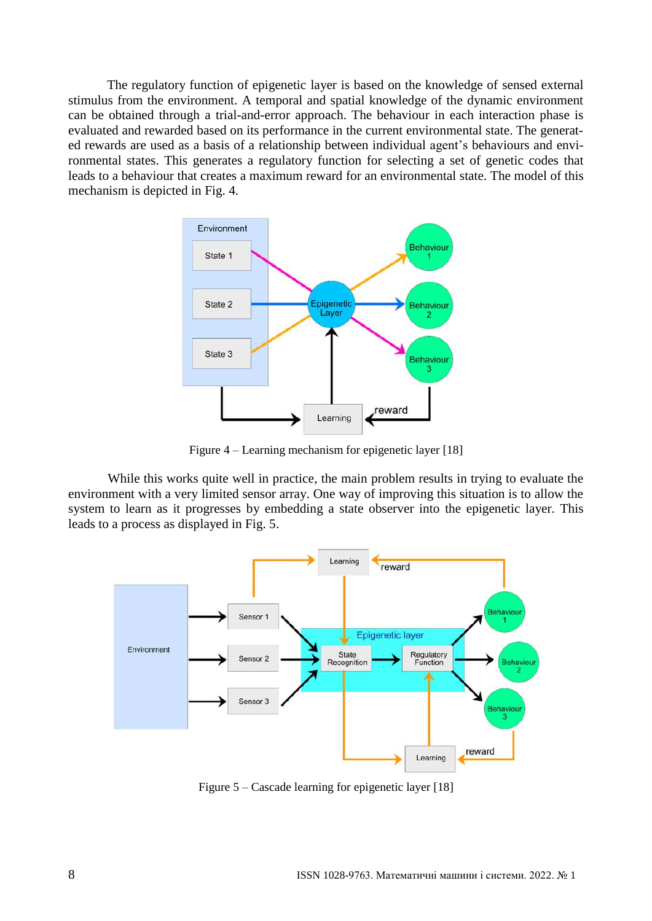The regulatory function of epigenetic layer is based on the knowledge of sensed external stimulus from the environment. A temporal and spatial knowledge of the dynamic environment can be obtained through a trial-and-error approach. The behaviour in each interaction phase is evaluated and rewarded based on its performance in the current environmental state. The generated rewards are used as a basis of a relationship between individual agent's behaviours and environmental states. This generates a regulatory function for selecting a set of genetic codes that leads to a behaviour that creates a maximum reward for an environmental state. The model of this mechanism is depicted in Fig. 4.



Figure 4 – Learning mechanism for epigenetic layer [18]

While this works quite well in practice, the main problem results in trying to evaluate the environment with a very limited sensor array. One way of improving this situation is to allow the system to learn as it progresses by embedding a state observer into the epigenetic layer. This leads to a process as displayed in Fig. 5.



Figure 5 – Cascade learning for epigenetic layer [18]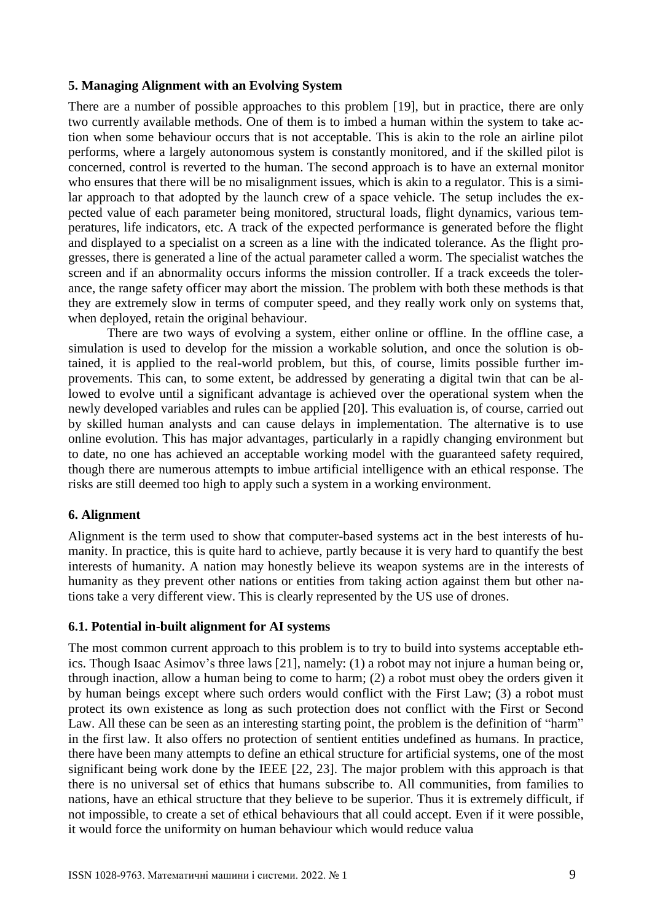## **5. Managing Alignment with an Evolving System**

There are a number of possible approaches to this problem [19], but in practice, there are only two currently available methods. One of them is to imbed a human within the system to take action when some behaviour occurs that is not acceptable. This is akin to the role an airline pilot performs, where a largely autonomous system is constantly monitored, and if the skilled pilot is concerned, control is reverted to the human. The second approach is to have an external monitor who ensures that there will be no misalignment issues, which is akin to a regulator. This is a similar approach to that adopted by the launch crew of a space vehicle. The setup includes the expected value of each parameter being monitored, structural loads, flight dynamics, various temperatures, life indicators, etc. A track of the expected performance is generated before the flight and displayed to a specialist on a screen as a line with the indicated tolerance. As the flight progresses, there is generated a line of the actual parameter called a worm. The specialist watches the screen and if an abnormality occurs informs the mission controller. If a track exceeds the tolerance, the range safety officer may abort the mission. The problem with both these methods is that they are extremely slow in terms of computer speed, and they really work only on systems that, when deployed, retain the original behaviour.

There are two ways of evolving a system, either online or offline. In the offline case, a simulation is used to develop for the mission a workable solution, and once the solution is obtained, it is applied to the real-world problem, but this, of course, limits possible further improvements. This can, to some extent, be addressed by generating a digital twin that can be allowed to evolve until a significant advantage is achieved over the operational system when the newly developed variables and rules can be applied [20]. This evaluation is, of course, carried out by skilled human analysts and can cause delays in implementation. The alternative is to use online evolution. This has major advantages, particularly in a rapidly changing environment but to date, no one has achieved an acceptable working model with the guaranteed safety required, though there are numerous attempts to imbue artificial intelligence with an ethical response. The risks are still deemed too high to apply such a system in a working environment.

# **6. Alignment**

Alignment is the term used to show that computer-based systems act in the best interests of humanity. In practice, this is quite hard to achieve, partly because it is very hard to quantify the best interests of humanity. A nation may honestly believe its weapon systems are in the interests of humanity as they prevent other nations or entities from taking action against them but other nations take a very different view. This is clearly represented by the US use of drones.

# **6.1. Potential in-built alignment for AI systems**

The most common current approach to this problem is to try to build into systems acceptable ethics. Though Isaac Asimov's three laws [21], namely: (1) a robot may not injure a human being or, through inaction, allow a human being to come to harm; (2) a robot must obey the orders given it by human beings except where such orders would conflict with the First Law; (3) a robot must protect its own existence as long as such protection does not conflict with the First or Second Law. All these can be seen as an interesting starting point, the problem is the definition of "harm" in the first law. It also offers no protection of sentient entities undefined as humans. In practice, there have been many attempts to define an ethical structure for artificial systems, one of the most significant being work done by the IEEE [22, 23]. The major problem with this approach is that there is no universal set of ethics that humans subscribe to. All communities, from families to nations, have an ethical structure that they believe to be superior. Thus it is extremely difficult, if not impossible, to create a set of ethical behaviours that all could accept. Even if it were possible, it would force the uniformity on human behaviour which would reduce valua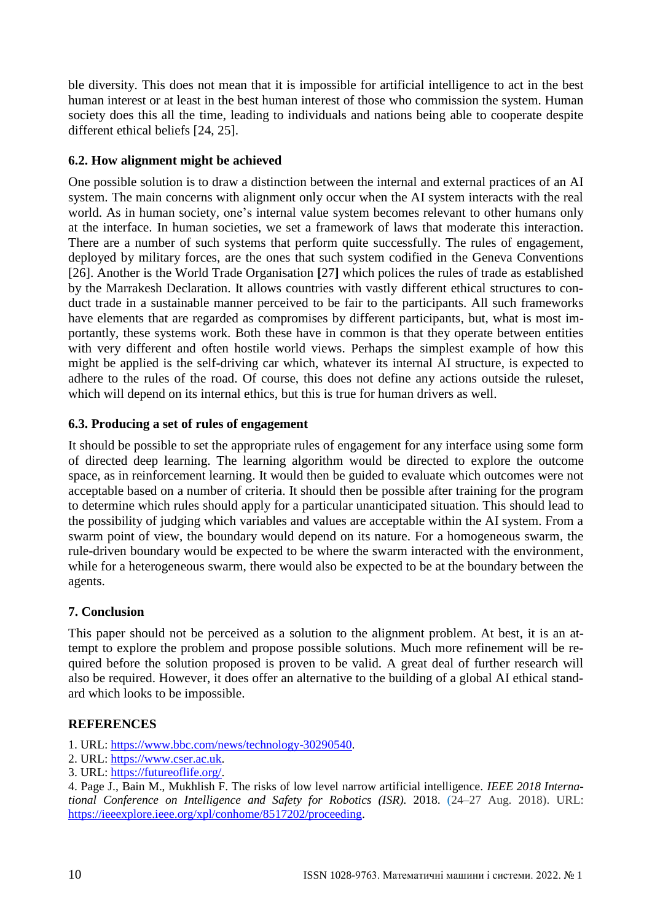ble diversity. This does not mean that it is impossible for artificial intelligence to act in the best human interest or at least in the best human interest of those who commission the system. Human society does this all the time, leading to individuals and nations being able to cooperate despite different ethical beliefs [24, 25].

# **6.2. How alignment might be achieved**

One possible solution is to draw a distinction between the internal and external practices of an AI system. The main concerns with alignment only occur when the AI system interacts with the real world. As in human society, one's internal value system becomes relevant to other humans only at the interface. In human societies, we set a framework of laws that moderate this interaction. There are a number of such systems that perform quite successfully. The rules of engagement, deployed by military forces, are the ones that such system codified in the Geneva Conventions [26]. Another is the World Trade Organisation **[**27**]** which polices the rules of trade as established by the Marrakesh Declaration. It allows countries with vastly different ethical structures to conduct trade in a sustainable manner perceived to be fair to the participants. All such frameworks have elements that are regarded as compromises by different participants, but, what is most importantly, these systems work. Both these have in common is that they operate between entities with very different and often hostile world views. Perhaps the simplest example of how this might be applied is the self-driving car which, whatever its internal AI structure, is expected to adhere to the rules of the road. Of course, this does not define any actions outside the ruleset, which will depend on its internal ethics, but this is true for human drivers as well.

# **6.3. Producing a set of rules of engagement**

It should be possible to set the appropriate rules of engagement for any interface using some form of directed deep learning. The learning algorithm would be directed to explore the outcome space, as in reinforcement learning. It would then be guided to evaluate which outcomes were not acceptable based on a number of criteria. It should then be possible after training for the program to determine which rules should apply for a particular unanticipated situation. This should lead to the possibility of judging which variables and values are acceptable within the AI system. From a swarm point of view, the boundary would depend on its nature. For a homogeneous swarm, the rule-driven boundary would be expected to be where the swarm interacted with the environment, while for a heterogeneous swarm, there would also be expected to be at the boundary between the agents.

# **7. Conclusion**

This paper should not be perceived as a solution to the alignment problem. At best, it is an attempt to explore the problem and propose possible solutions. Much more refinement will be required before the solution proposed is proven to be valid. A great deal of further research will also be required. However, it does offer an alternative to the building of a global AI ethical standard which looks to be impossible.

# **REFERENCES**

- 1. URL: https://www.bbc.com/news/technology-30290540.
- 2. URL: https://www.cser.ac.uk.
- 3. URL: https://futureoflife.org/.

4. Page J., Bain M., Mukhlish F. The risks of low level narrow artificial intelligence. *IEEE 2018 International Conference on Intelligence and Safety for Robotics (ISR).* 2018. (24–27 Aug. 2018). URL: https://ieeexplore.ieee.org/xpl/conhome/8517202/proceeding.